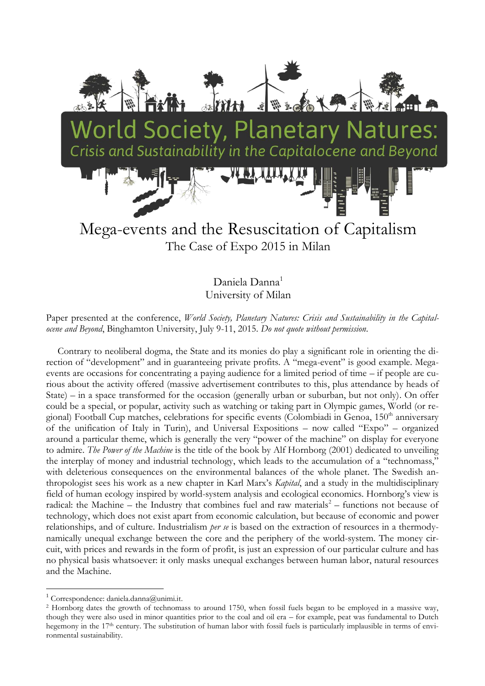

Daniela Danna<sup>1</sup> University of Milan

Paper presented at the conference, *World Society, Planetary Natures: Crisis and Sustainability in the Capitalocene and Beyond*, Binghamton University, July 9-11, 2015. *Do not quote without permission*.

Contrary to neoliberal dogma, the State and its monies do play a significant role in orienting the direction of "development" and in guaranteeing private profits. A "mega-event" is good example. Megaevents are occasions for concentrating a paying audience for a limited period of time – if people are curious about the activity offered (massive advertisement contributes to this, plus attendance by heads of State) – in a space transformed for the occasion (generally urban or suburban, but not only). On offer could be a special, or popular, activity such as watching or taking part in Olympic games, World (or regional) Football Cup matches, celebrations for specific events (Colombiadi in Genoa, 150<sup>th</sup> anniversary of the unification of Italy in Turin), and Universal Expositions – now called "Expo" – organized around a particular theme, which is generally the very "power of the machine" on display for everyone to admire. *The Power of the Machine* is the title of the book by Alf Hornborg (2001) dedicated to unveiling the interplay of money and industrial technology, which leads to the accumulation of a "technomass," with deleterious consequences on the environmental balances of the whole planet. The Swedish anthropologist sees his work as a new chapter in Karl Marx's *Kapital*, and a study in the multidisciplinary field of human ecology inspired by world-system analysis and ecological economics. Hornborg's view is radical: the Machine – the Industry that combines fuel and raw materials<sup>2</sup> – functions not because of technology, which does not exist apart from economic calculation, but because of economic and power relationships, and of culture. Industrialism *per se* is based on the extraction of resources in a thermodynamically unequal exchange between the core and the periphery of the world-system. The money circuit, with prices and rewards in the form of profit, is just an expression of our particular culture and has no physical basis whatsoever: it only masks unequal exchanges between human labor, natural resources and the Machine.

1

 $1$  Correspondence: daniela.danna@unimi.it.

<sup>2</sup> Hornborg dates the growth of technomass to around 1750, when fossil fuels began to be employed in a massive way, though they were also used in minor quantities prior to the coal and oil era – for example, peat was fundamental to Dutch hegemony in the 17<sup>th</sup> century. The substitution of human labor with fossil fuels is particularly implausible in terms of environmental sustainability.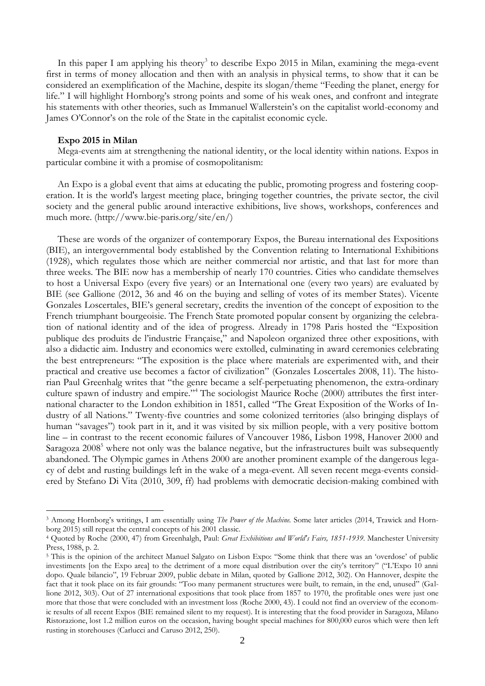In this paper I am applying his theory<sup>3</sup> to describe Expo 2015 in Milan, examining the mega-event first in terms of money allocation and then with an analysis in physical terms, to show that it can be considered an exemplification of the Machine, despite its slogan/theme "Feeding the planet, energy for life." I will highlight Hornborg's strong points and some of his weak ones, and confront and integrate his statements with other theories, such as Immanuel Wallerstein's on the capitalist world-economy and James O'Connor's on the role of the State in the capitalist economic cycle.

#### **Expo 2015 in Milan**

<u>.</u>

Mega-events aim at strengthening the national identity, or the local identity within nations. Expos in particular combine it with a promise of cosmopolitanism:

An Expo is a global event that aims at educating the public, promoting progress and fostering cooperation. It is the world's largest meeting place, bringing together countries, the private sector, the civil society and the general public around interactive exhibitions, live shows, workshops, conferences and much more. [\(http://www.bie-paris.org/site/en/\)](http://www.bie-paris.org/site/en/)

These are words of the organizer of contemporary Expos, the Bureau international des Expositions (BIE), an intergovernmental body established by the Convention relating to International Exhibitions (1928), which regulates those which are neither commercial nor artistic, and that last for more than three weeks. The BIE now has a membership of nearly 170 countries. Cities who candidate themselves to host a Universal Expo (every five years) or an International one (every two years) are evaluated by BIE (see Gallione (2012, 36 and 46 on the buying and selling of votes of its member States). Vicente Gonzales Loscertales, BIE's general secretary, credits the invention of the concept of exposition to the French triumphant bourgeoisie. The French State promoted popular consent by organizing the celebration of national identity and of the idea of progress. Already in 1798 Paris hosted the "Exposition publique des produits de l'industrie Française," and Napoleon organized three other expositions, with also a didactic aim. Industry and economics were extolled, culminating in award ceremonies celebrating the best entrepreneurs: "The exposition is the place where materials are experimented with, and their practical and creative use becomes a factor of civilization" (Gonzales Loscertales 2008, 11). The historian Paul Greenhalg writes that "the genre became a self-perpetuating phenomenon, the extra-ordinary culture spawn of industry and empire."<sup>4</sup> The sociologist Maurice Roche (2000) attributes the first international character to the London exhibition in 1851, called "The Great Exposition of the Works of Industry of all Nations." Twenty-five countries and some colonized territories (also bringing displays of human "savages") took part in it, and it was visited by six million people, with a very positive bottom line – in contrast to the recent economic failures of Vancouver 1986, Lisbon 1998, Hanover 2000 and Saragoza 2008<sup>5</sup> where not only was the balance negative, but the infrastructures built was subsequently abandoned. The Olympic games in Athens 2000 are another prominent example of the dangerous legacy of debt and rusting buildings left in the wake of a mega-event. All seven recent mega-events considered by Stefano Di Vita (2010, 309, ff) had problems with democratic decision-making combined with

<sup>3</sup> Among Hornborg's writings, I am essentially using *The Power of the Machine.* Some later articles (2014, Trawick and Hornborg 2015) still repeat the central concepts of his 2001 classic.

<sup>4</sup> Quoted by Roche (2000, 47) from Greenhalgh, Paul: *Great Exhibitions and World's Fairs, 1851-1939*. Manchester University Press, 1988, p. 2.

<sup>&</sup>lt;sup>5</sup> This is the opinion of the architect Manuel Salgato on Lisbon Expo: "Some think that there was an 'overdose' of public investiments [on the Expo area] to the detriment of a more equal distribution over the city's territory" ("L'Expo 10 anni dopo. Quale bilancio", 19 Februar 2009, public debate in Milan, quoted by Gallione 2012, 302). On Hannover, despite the fact that it took place on its fair grounds: "Too many permanent structures were built, to remain, in the end, unused" (Gallione 2012, 303). Out of 27 international expositions that took place from 1857 to 1970, the profitable ones were just one more that those that were concluded with an investment loss (Roche 2000, 43). I could not find an overview of the economic results of all recent Expos (BIE remained silent to my request). It is interesting that the food provider in Saragoza, Milano Ristorazione, lost 1.2 million euros on the occasion, having bought special machines for 800,000 euros which were then left rusting in storehouses (Carlucci and Caruso 2012, 250).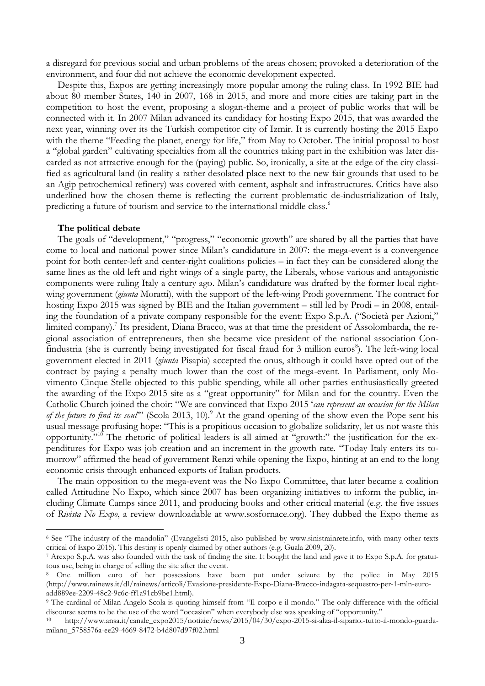a disregard for previous social and urban problems of the areas chosen; provoked a deterioration of the environment, and four did not achieve the economic development expected.

Despite this, Expos are getting increasingly more popular among the ruling class. In 1992 BIE had about 80 member States, 140 in 2007, 168 in 2015, and more and more cities are taking part in the competition to host the event, proposing a slogan-theme and a project of public works that will be connected with it. In 2007 Milan advanced its candidacy for hosting Expo 2015, that was awarded the next year, winning over its the Turkish competitor city of Izmir. It is currently hosting the 2015 Expo with the theme "Feeding the planet, energy for life," from May to October. The initial proposal to host a "global garden" cultivating specialties from all the countries taking part in the exhibition was later discarded as not attractive enough for the (paying) public. So, ironically, a site at the edge of the city classified as agricultural land (in reality a rather desolated place next to the new fair grounds that used to be an Agip petrochemical refinery) was covered with cement, asphalt and infrastructures. Critics have also underlined how the chosen theme is reflecting the current problematic de-industrialization of Italy, predicting a future of tourism and service to the international middle class.<sup>6</sup>

### **The political debate**

1

The goals of "development," "progress," "economic growth" are shared by all the parties that have come to local and national power since Milan's candidature in 2007: the mega-event is a convergence point for both center-left and center-right coalitions policies – in fact they can be considered along the same lines as the old left and right wings of a single party, the Liberals, whose various and antagonistic components were ruling Italy a century ago. Milan's candidature was drafted by the former local rightwing government (*giunta* Moratti), with the support of the left-wing Prodi government. The contract for hosting Expo 2015 was signed by BIE and the Italian government – still led by Prodi – in 2008, entailing the foundation of a private company responsible for the event: Expo S.p.A. ("Società per Azioni," limited company).<sup>7</sup> Its president, Diana Bracco, was at that time the president of Assolombarda, the regional association of entrepreneurs, then she became vice president of the national association Confindustria (she is currently being investigated for fiscal fraud for 3 million euros<sup>8</sup>). The left-wing local government elected in 2011 (*giunta* Pisapia) accepted the onus, although it could have opted out of the contract by paying a penalty much lower than the cost of the mega-event. In Parliament, only Movimento Cinque Stelle objected to this public spending, while all other parties enthusiastically greeted the awarding of the Expo 2015 site as a "great opportunity" for Milan and for the country. Even the Catholic Church joined the choir: "We are convinced that Expo 2015 '*can represent an occasion for the Milan of the future to find its soul*" (Scola 2013, 10).<sup>9</sup> At the grand opening of the show even the Pope sent his usual message profusing hope: "This is a propitious occasion to globalize solidarity, let us not waste this opportunity."<sup>10</sup> The rhetoric of political leaders is all aimed at "growth:" the justification for the expenditures for Expo was job creation and an increment in the growth rate. "Today Italy enters its tomorrow" affirmed the head of government Renzi while opening the Expo, hinting at an end to the long economic crisis through enhanced exports of Italian products.

The main opposition to the mega-event was the No Expo Committee, that later became a coalition called Attitudine No Expo, which since 2007 has been organizing initiatives to inform the public, including Climate Camps since 2011, and producing books and other critical material (e.g. the five issues of *Rivista No Expo*, a review downloadable at www.sosfornace.org). They dubbed the Expo theme as

<sup>6</sup> See "The industry of the mandolin" (Evangelisti 2015, also published by [www.sinistrainrete.info,](http://www.sinistrainrete.info/) with many other texts critical of Expo 2015). This destiny is openly claimed by other authors (e.g. Guala 2009, 20).

<sup>7</sup> Arexpo S.p.A. was also founded with the task of finding the site. It bought the land and gave it to Expo S.p.A. for gratuitous use, being in charge of selling the site after the event.

<sup>8</sup> One million euro of her possessions have been put under seizure by the police in May 2015 (http://www.rainews.it/dl/rainews/articoli/Evasione-presidente-Expo-Diana-Bracco-indagata-sequestro-per-1-mln-euroadd889ee-2209-48c2-9c6c-ff1a91cb9be1.html).

<sup>9</sup> The cardinal of Milan Angelo Scola is quoting himself from "Il corpo e il mondo." The only difference with the official discourse seems to be the use of the word "occasion" when everybody else was speaking of "opportunity."

<sup>10</sup> [http://www.ansa.it/canale\\_expo2015/notizie/news/2015/04/30/expo-2015-si-alza-il-sipario.-tutto-il-mondo-guarda](http://www.ansa.it/canale_expo2015/notizie/news/2015/04/30/expo-2015-si-alza-il-sipario.-tutto-il-mondo-guarda-milano_5758576a-ee29-4669-8472-b4d807d97f02.html)[milano\\_5758576a-ee29-4669-8472-b4d807d97f02.html](http://www.ansa.it/canale_expo2015/notizie/news/2015/04/30/expo-2015-si-alza-il-sipario.-tutto-il-mondo-guarda-milano_5758576a-ee29-4669-8472-b4d807d97f02.html)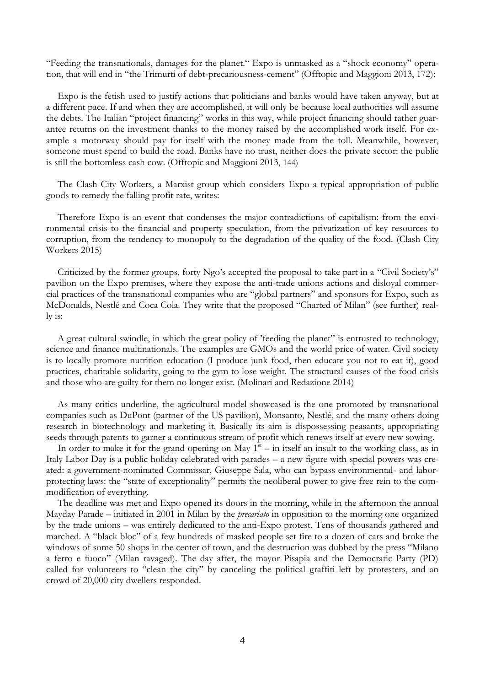"Feeding the transnationals, damages for the planet." Expo is unmasked as a "shock economy" operation, that will end in "the Trimurti of debt-precariousness-cement" (Offtopic and Maggioni 2013, 172):

Expo is the fetish used to justify actions that politicians and banks would have taken anyway, but at a different pace. If and when they are accomplished, it will only be because local authorities will assume the debts. The Italian "project financing" works in this way, while project financing should rather guarantee returns on the investment thanks to the money raised by the accomplished work itself. For example a motorway should pay for itself with the money made from the toll. Meanwhile, however, someone must spend to build the road. Banks have no trust, neither does the private sector: the public is still the bottomless cash cow. (Offtopic and Maggioni 2013, 144)

The Clash City Workers, a Marxist group which considers Expo a typical appropriation of public goods to remedy the falling profit rate, writes:

Therefore Expo is an event that condenses the major contradictions of capitalism: from the environmental crisis to the financial and property speculation, from the privatization of key resources to corruption, from the tendency to monopoly to the degradation of the quality of the food. (Clash City Workers 2015)

Criticized by the former groups, forty Ngo's accepted the proposal to take part in a "Civil Society's" pavilion on the Expo premises, where they expose the anti-trade unions actions and disloyal commercial practices of the transnational companies who are "global partners" and sponsors for Expo, such as McDonalds, Nestlé and Coca Cola. They write that the proposed "Charted of Milan" (see further) really is:

A great cultural swindle, in which the great policy of 'feeding the planet" is entrusted to technology, science and finance multinationals. The examples are GMOs and the world price of water. Civil society is to locally promote nutrition education (I produce junk food, then educate you not to eat it), good practices, charitable solidarity, going to the gym to lose weight. The structural causes of the food crisis and those who are guilty for them no longer exist. (Molinari and Redazione 2014)

As many critics underline, the agricultural model showcased is the one promoted by transnational companies such as DuPont (partner of the US pavilion), Monsanto, Nestlé, and the many others doing research in biotechnology and marketing it. Basically its aim is dispossessing peasants, appropriating seeds through patents to garner a continuous stream of profit which renews itself at every new sowing.

In order to make it for the grand opening on May  $1<sup>st</sup>$  – in itself an insult to the working class, as in Italy Labor Day is a public holiday celebrated with parades – a new figure with special powers was created: a government-nominated Commissar, Giuseppe Sala, who can bypass environmental- and laborprotecting laws: the "state of exceptionality" permits the neoliberal power to give free rein to the commodification of everything.

The deadline was met and Expo opened its doors in the morning, while in the afternoon the annual Mayday Parade – initiated in 2001 in Milan by the *precariato* in opposition to the morning one organized by the trade unions – was entirely dedicated to the anti-Expo protest. Tens of thousands gathered and marched. A "black bloc" of a few hundreds of masked people set fire to a dozen of cars and broke the windows of some 50 shops in the center of town, and the destruction was dubbed by the press "Milano a ferro e fuoco" (Milan ravaged). The day after, the mayor Pisapia and the Democratic Party (PD) called for volunteers to "clean the city" by canceling the political graffiti left by protesters, and an crowd of 20,000 city dwellers responded.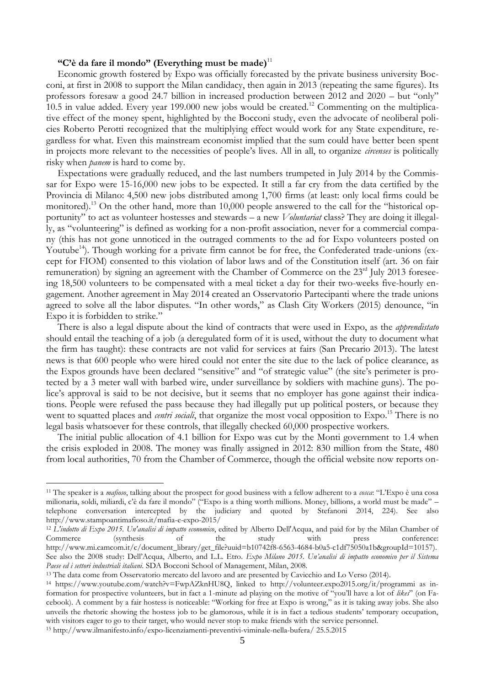# **"C'è da fare il mondo" (Everything must be made)**<sup>11</sup>

Economic growth fostered by Expo was officially forecasted by the private business university Bocconi, at first in 2008 to support the Milan candidacy, then again in 2013 (repeating the same figures). Its professors foresaw a good 24.7 billion in increased production between 2012 and 2020 – but "only" 10.5 in value added. Every year 199.000 new jobs would be created.<sup>12</sup> Commenting on the multiplicative effect of the money spent, highlighted by the Bocconi study, even the advocate of neoliberal policies Roberto Perotti recognized that the multiplying effect would work for any State expenditure, regardless for what. Even this mainstream economist implied that the sum could have better been spent in projects more relevant to the necessities of people's lives. All in all, to organize *circenses* is politically risky when *panem* is hard to come by.

Expectations were gradually reduced, and the last numbers trumpeted in July 2014 by the Commissar for Expo were 15-16,000 new jobs to be expected. It still a far cry from the data certified by the Provincia di Milano: 4,500 new jobs distributed among 1,700 firms (at least: only local firms could be monitored).<sup>13</sup> On the other hand, more than 10,000 people answered to the call for the "historical opportunity" to act as volunteer hostesses and stewards – a new *Voluntariat* class? They are doing it illegally, as "volunteering" is defined as working for a non-profit association, never for a commercial company (this has not gone unnoticed in the outraged comments to the ad for Expo volunteers posted on Youtube<sup>14</sup>). Though working for a private firm cannot be for free, the Confederated trade-unions (except for FIOM) consented to this violation of labor laws and of the Constitution itself (art. 36 on fair remuneration) by signing an agreement with the Chamber of Commerce on the 23<sup>rd</sup> July 2013 foreseeing 18,500 volunteers to be compensated with a meal ticket a day for their two-weeks five-hourly engagement. Another agreement in May 2014 created an Osservatorio Partecipanti where the trade unions agreed to solve all the labor disputes. "In other words," as Clash City Workers (2015) denounce, "in Expo it is forbidden to strike."

There is also a legal dispute about the kind of contracts that were used in Expo, as the *apprendistato* should entail the teaching of a job (a deregulated form of it is used, without the duty to document what the firm has taught): these contracts are not valid for services at fairs (San Precario 2013). The latest news is that 600 people who were hired could not enter the site due to the lack of police clearance, as the Expos grounds have been declared "sensitive" and "of strategic value" (the site's perimeter is protected by a 3 meter wall with barbed wire, under surveillance by soldiers with machine guns). The police's approval is said to be not decisive, but it seems that no employer has gone against their indications. People were refused the pass because they had illegally put up political posters, or because they went to squatted places and *centri sociali*, that organize the most vocal opposition to Expo.<sup>15</sup> There is no legal basis whatsoever for these controls, that illegally checked 60,000 prospective workers.

The initial public allocation of 4.1 billion for Expo was cut by the Monti government to 1.4 when the crisis exploded in 2008. The money was finally assigned in 2012: 830 million from the State, 480 from local authorities, 70 from the Chamber of Commerce, though the official website now reports on-

<u>.</u>

<sup>11</sup> The speaker is a *mafioso*, talking about the prospect for good business with a fellow adherent to a *cosca*: "L'Expo è una cosa milionaria, soldi, miliardi, c'è da fare il mondo" ("Expo is a thing worth millions. Money, billions, a world must be made" – telephone conversation intercepted by the judiciary and quoted by Stefanoni 2014, 224). See also http://www.stampoantimafioso.it/mafia-e-expo-2015/

<sup>12</sup> *L'indotto di Expo 2015. Un'analisi di impatto economico*, edited by Alberto Dell'Acqua, and paid for by the Milan Chamber of Commerce (synthesis of the study with press conference: [http://www.mi.camcom.it/c/document\\_library/get\\_file?uuid=b10742f8-6563-4684-b0a5-c1df75050a1b&groupId=10157\)](http://www.mi.camcom.it/c/document_library/get_file?uuid=b10742f8-6563-4684-b0a5-c1df75050a1b&groupId=10157). See also the 2008 study: Dell'Acqua, Alberto, and L.L. Etro. *Expo Milano 2015. Un'analisi di impatto economico per il Sistema Paese ed i settori industriali italiani*. SDA Bocconi School of Management, Milan, 2008.

<sup>13</sup> The data come from Osservatorio mercato del lavoro and are presented by Cavicchio and Lo Verso (2014).

<sup>14</sup> [https://www.youtube.com/watch?v=FwpAZknHU8Q,](https://www.youtube.com/watch?v=FwpAZknHU8Q) linked to <http://volunteer.expo2015.org/it/programmi> as information for prospective volunteers, but in fact a 1-minute ad playing on the motive of "you'll have a lot of *likes*" (on Facebook). A comment by a fair hostess is noticeable: "Working for free at Expo is wrong," as it is taking away jobs. She also unveils the rhetoric showing the hostess job to be glamorous, while it is in fact a tedious students' temporary occupation, with visitors eager to go to their target, who would never stop to make friends with the service personnel.

<sup>15</sup> http://www.ilmanifesto.info/expo-licenziamenti-preventivi-viminale-nella-bufera*/* 25.5.2015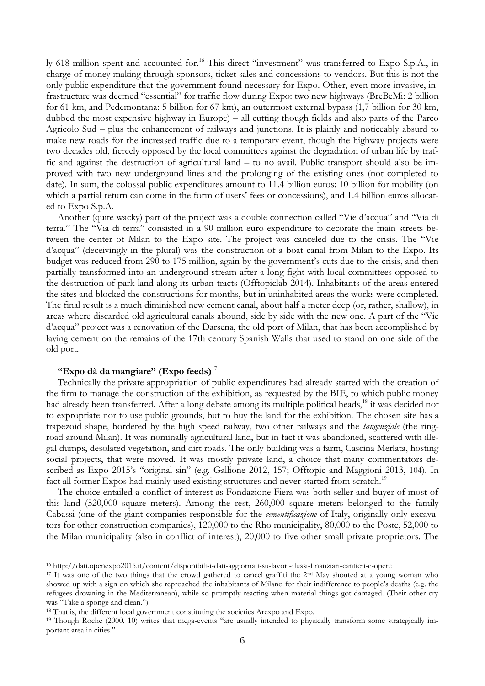ly 618 million spent and accounted for.<sup>16</sup> This direct "investment" was transferred to Expo S.p.A., in charge of money making through sponsors, ticket sales and concessions to vendors. But this is not the only public expenditure that the government found necessary for Expo. Other, even more invasive, infrastructure was deemed "essential" for traffic flow during Expo: two new highways (BreBeMi: 2 billion for 61 km, and Pedemontana: 5 billion for 67 km), an outermost external bypass (1,7 billion for 30 km, dubbed the most expensive highway in Europe) – all cutting though fields and also parts of the Parco Agricolo Sud – plus the enhancement of railways and junctions. It is plainly and noticeably absurd to make new roads for the increased traffic due to a temporary event, though the highway projects were two decades old, fiercely opposed by the local committees against the degradation of urban life by traffic and against the destruction of agricultural land – to no avail. Public transport should also be improved with two new underground lines and the prolonging of the existing ones (not completed to date). In sum, the colossal public expenditures amount to 11.4 billion euros: 10 billion for mobility (on which a partial return can come in the form of users' fees or concessions), and 1.4 billion euros allocated to Expo S.p.A.

Another (quite wacky) part of the project was a double connection called "Vie d'acqua" and "Via di terra." The "Via di terra" consisted in a 90 million euro expenditure to decorate the main streets between the center of Milan to the Expo site. The project was canceled due to the crisis. The "Vie d'acqua" (deceivingly in the plural) was the construction of a boat canal from Milan to the Expo. Its budget was reduced from 290 to 175 million, again by the government's cuts due to the crisis, and then partially transformed into an underground stream after a long fight with local committees opposed to the destruction of park land along its urban tracts (Offtopiclab 2014). Inhabitants of the areas entered the sites and blocked the constructions for months, but in uninhabited areas the works were completed. The final result is a much diminished new cement canal, about half a meter deep (or, rather, shallow), in areas where discarded old agricultural canals abound, side by side with the new one. A part of the "Vie d'acqua" project was a renovation of the Darsena, the old port of Milan, that has been accomplished by laying cement on the remains of the 17th century Spanish Walls that used to stand on one side of the old port.

## **"Expo dà da mangiare" (Expo feeds)**<sup>17</sup>

1

Technically the private appropriation of public expenditures had already started with the creation of the firm to manage the construction of the exhibition, as requested by the BIE, to which public money had already been transferred. After a long debate among its multiple political heads,<sup>18</sup> it was decided not to expropriate nor to use public grounds, but to buy the land for the exhibition. The chosen site has a trapezoid shape, bordered by the high speed railway, two other railways and the *tangenziale* (the ringroad around Milan). It was nominally agricultural land, but in fact it was abandoned, scattered with illegal dumps, desolated vegetation, and dirt roads. The only building was a farm, Cascina Merlata, hosting social projects, that were moved. It was mostly private land, a choice that many commentators described as Expo 2015's "original sin" (e.g. Gallione 2012, 157; Offtopic and Maggioni 2013, 104). In fact all former Expos had mainly used existing structures and never started from scratch.<sup>19</sup>

The choice entailed a conflict of interest as Fondazione Fiera was both seller and buyer of most of this land (520,000 square meters). Among the rest, 260,000 square meters belonged to the family Cabassi (one of the giant companies responsible for the *cementificazione* of Italy, originally only excavators for other construction companies), 120,000 to the Rho municipality, 80,000 to the Poste, 52,000 to the Milan municipality (also in conflict of interest), 20,000 to five other small private proprietors. The

<sup>16</sup> <http://dati.openexpo2015.it/content/disponibili-i-dati-aggiornati-su-lavori-flussi-finanziari-cantieri-e-opere>

<sup>&</sup>lt;sup>17</sup> It was one of the two things that the crowd gathered to cancel graffiti the  $2<sup>nd</sup>$  May shouted at a young woman who showed up with a sign on which she reproached the inhabitants of Milano for their indifference to people's deaths (e.g. the refugees drowning in the Mediterranean), while so promptly reacting when material things got damaged. (Their other cry was "Take a sponge and clean.")

<sup>18</sup> That is, the different local government constituting the societies Arexpo and Expo.

<sup>&</sup>lt;sup>19</sup> Though Roche (2000, 10) writes that mega-events "are usually intended to physically transform some strategically important area in cities."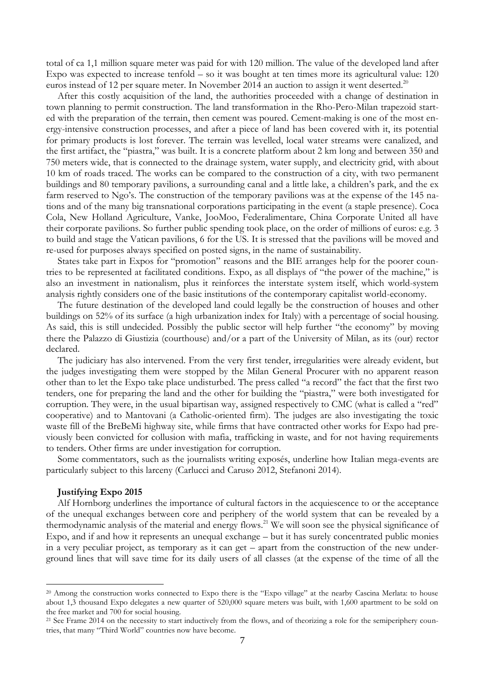total of ca 1,1 million square meter was paid for with 120 million. The value of the developed land after Expo was expected to increase tenfold – so it was bought at ten times more its agricultural value: 120 euros instead of 12 per square meter. In November 2014 an auction to assign it went deserted.<sup>20</sup>

After this costly acquisition of the land, the authorities proceeded with a change of destination in town planning to permit construction. The land transformation in the Rho-Pero-Milan trapezoid started with the preparation of the terrain, then cement was poured. Cement-making is one of the most energy-intensive construction processes, and after a piece of land has been covered with it, its potential for primary products is lost forever. The terrain was levelled, local water streams were canalized, and the first artifact, the "piastra," was built. It is a concrete platform about 2 km long and between 350 and 750 meters wide, that is connected to the drainage system, water supply, and electricity grid, with about 10 km of roads traced. The works can be compared to the construction of a city, with two permanent buildings and 80 temporary pavilions, a surrounding canal and a little lake, a children's park, and the ex farm reserved to Ngo's. The construction of the temporary pavilions was at the expense of the 145 nations and of the many big transnational corporations participating in the event (a staple presence). Coca Cola, New Holland Agriculture, Vanke, JooMoo, Federalimentare, China Corporate United all have their corporate pavilions. So further public spending took place, on the order of millions of euros: e.g. 3 to build and stage the Vatican pavilions, 6 for the US. It is stressed that the pavilions will be moved and re-used for purposes always specified on posted signs, in the name of sustainability.

States take part in Expos for "promotion" reasons and the BIE arranges help for the poorer countries to be represented at facilitated conditions. Expo, as all displays of "the power of the machine," is also an investment in nationalism, plus it reinforces the interstate system itself, which world-system analysis rightly considers one of the basic institutions of the contemporary capitalist world-economy.

The future destination of the developed land could legally be the construction of houses and other buildings on 52% of its surface (a high urbanization index for Italy) with a percentage of social housing. As said, this is still undecided. Possibly the public sector will help further "the economy" by moving there the Palazzo di Giustizia (courthouse) and/or a part of the University of Milan, as its (our) rector declared.

The judiciary has also intervened. From the very first tender, irregularities were already evident, but the judges investigating them were stopped by the Milan General Procurer with no apparent reason other than to let the Expo take place undisturbed. The press called "a record" the fact that the first two tenders, one for preparing the land and the other for building the "piastra," were both investigated for corruption. They were, in the usual bipartisan way, assigned respectively to CMC (what is called a "red" cooperative) and to Mantovani (a Catholic-oriented firm). The judges are also investigating the toxic waste fill of the BreBeMi highway site, while firms that have contracted other works for Expo had previously been convicted for collusion with mafia, trafficking in waste, and for not having requirements to tenders. Other firms are under investigation for corruption.

Some commentators, such as the journalists writing exposés, underline how Italian mega-events are particularly subject to this larceny (Carlucci and Caruso 2012, Stefanoni 2014).

## **Justifying Expo 2015**

1

Alf Hornborg underlines the importance of cultural factors in the acquiescence to or the acceptance of the unequal exchanges between core and periphery of the world system that can be revealed by a thermodynamic analysis of the material and energy flows.<sup>21</sup> We will soon see the physical significance of Expo, and if and how it represents an unequal exchange – but it has surely concentrated public monies in a very peculiar project, as temporary as it can get – apart from the construction of the new underground lines that will save time for its daily users of all classes (at the expense of the time of all the

<sup>&</sup>lt;sup>20</sup> Among the construction works connected to Expo there is the "Expo village" at the nearby Cascina Merlata: to house about 1,3 thousand Expo delegates a new quarter of 520,000 square meters was built, with 1,600 apartment to be sold on the free market and 700 for social housing.

<sup>&</sup>lt;sup>21</sup> See Frame 2014 on the necessity to start inductively from the flows, and of theorizing a role for the semiperiphery countries, that many "Third World" countries now have become.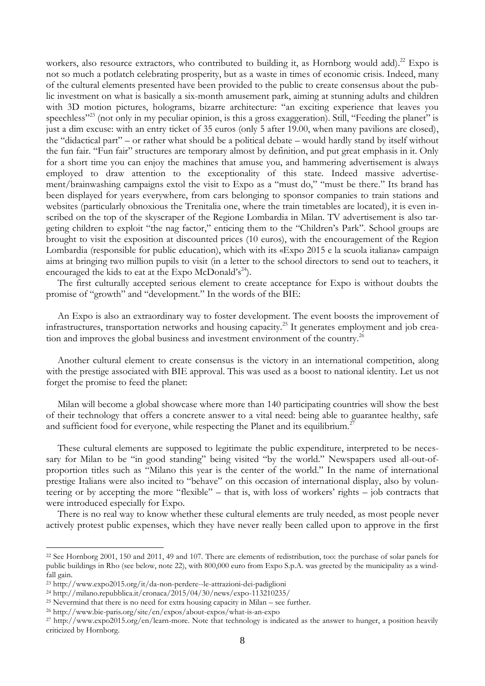workers, also resource extractors, who contributed to building it, as Hornborg would add).<sup>22</sup> Expo is not so much a potlatch celebrating prosperity, but as a waste in times of economic crisis. Indeed, many of the cultural elements presented have been provided to the public to create consensus about the public investment on what is basically a six-month amusement park, aiming at stunning adults and children with 3D motion pictures, holograms, bizarre architecture: "an exciting experience that leaves you speechless"<sup>23</sup> (not only in my peculiar opinion, is this a gross exaggeration). Still, "Feeding the planet" is just a dim excuse: with an entry ticket of 35 euros (only 5 after 19.00, when many pavilions are closed), the "didactical part" – or rather what should be a political debate – would hardly stand by itself without the fun fair. "Fun fair" structures are temporary almost by definition, and put great emphasis in it. Only for a short time you can enjoy the machines that amuse you, and hammering advertisement is always employed to draw attention to the exceptionality of this state. Indeed massive advertisement/brainwashing campaigns extol the visit to Expo as a "must do," "must be there." Its brand has been displayed for years everywhere, from cars belonging to sponsor companies to train stations and websites (particularly obnoxious the Trenitalia one, where the train timetables are located), it is even inscribed on the top of the skyscraper of the Regione Lombardia in Milan. TV advertisement is also targeting children to exploit "the nag factor," enticing them to the "Children's Park". School groups are brought to visit the exposition at discounted prices (10 euros), with the encouragement of the Region Lombardia (responsible for public education), which with its «Expo 2015 e la scuola italiana» campaign aims at bringing two million pupils to visit (in a letter to the school directors to send out to teachers, it encouraged the kids to eat at the Expo McDonald's<sup>24</sup>).

The first culturally accepted serious element to create acceptance for Expo is without doubts the promise of "growth" and "development." In the words of the BIE:

An Expo is also an extraordinary way to foster development. The event boosts the improvement of infrastructures, transportation networks and housing capacity.<sup>25</sup> It generates employment and job creation and improves the global business and investment environment of the country.<sup>26</sup>

Another cultural element to create consensus is the victory in an international competition, along with the prestige associated with BIE approval. This was used as a boost to national identity. Let us not forget the promise to feed the planet:

Milan will become a global showcase where more than 140 participating countries will show the best of their technology that offers a concrete answer to a vital need: being able to guarantee healthy, safe and sufficient food for everyone, while respecting the Planet and its equilibrium.<sup>2</sup>

These cultural elements are supposed to legitimate the public expenditure, interpreted to be necessary for Milan to be "in good standing" being visited "by the world." Newspapers used all-out-ofproportion titles such as "Milano this year is the center of the world." In the name of international prestige Italians were also incited to "behave" on this occasion of international display, also by volunteering or by accepting the more "flexible" – that is, with loss of workers' rights – job contracts that were introduced especially for Expo.

There is no real way to know whether these cultural elements are truly needed, as most people never actively protest public expenses, which they have never really been called upon to approve in the first

<u>.</u>

<sup>&</sup>lt;sup>22</sup> See Hornborg 2001, 150 and 2011, 49 and 107. There are elements of redistribution, too: the purchase of solar panels for public buildings in Rho (see below, note 22), with 800,000 euro from Expo S.p.A. was greeted by the municipality as a windfall gain.

<sup>23</sup> http://www.expo2015.org/it/da-non-perdere--le-attrazioni-dei-padiglioni

<sup>24</sup> http://milano.repubblica.it/cronaca/2015/04/30/news/expo-113210235/

 $25$  Nevermind that there is no need for extra housing capacity in Milan – see further.

<sup>26</sup> <http://www.bie-paris.org/site/en/expos/about-expos/what-is-an-expo>

<sup>27</sup> [http://www.expo2015.org/en/learn-more.](http://www.expo2015.org/en/learn-more) Note that technology is indicated as the answer to hunger, a position heavily criticized by Hornborg.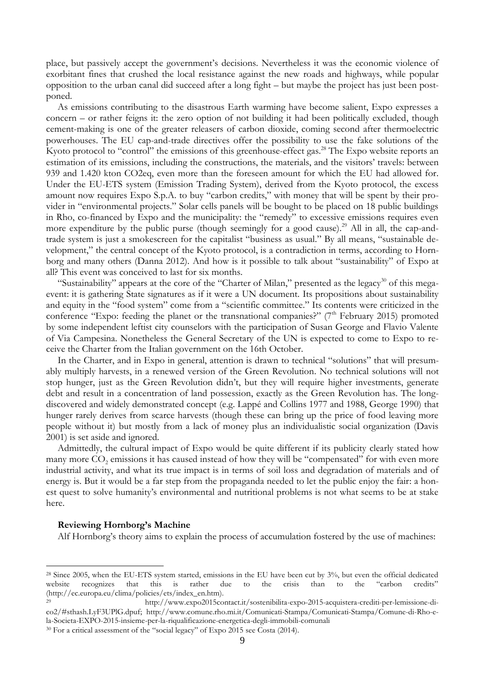place, but passively accept the government's decisions. Nevertheless it was the economic violence of exorbitant fines that crushed the local resistance against the new roads and highways, while popular opposition to the urban canal did succeed after a long fight – but maybe the project has just been postponed.

As emissions contributing to the disastrous Earth warming have become salient, Expo expresses a concern – or rather feigns it: the zero option of not building it had been politically excluded, though cement-making is one of the greater releasers of carbon dioxide, coming second after thermoelectric powerhouses. The EU cap-and-trade directives offer the possibility to use the fake solutions of the Kyoto protocol to "control" the emissions of this greenhouse-effect gas.<sup>28</sup> The Expo website reports an estimation of its emissions, including the constructions, the materials, and the visitors' travels: between 939 and 1.420 kton CO2eq, even more than the foreseen amount for which the EU had allowed for. Under the EU-ETS system (Emission Trading System), derived from the Kyoto protocol, the excess amount now requires Expo S.p.A. to buy "carbon credits," with money that will be spent by their provider in "environmental projects." Solar cells panels will be bought to be placed on 18 public buildings in Rho, co-financed by Expo and the municipality: the "remedy" to excessive emissions requires even more expenditure by the public purse (though seemingly for a good cause).<sup>29</sup> All in all, the cap-andtrade system is just a smokescreen for the capitalist "business as usual." By all means, "sustainable development," the central concept of the Kyoto protocol, is a contradiction in terms, according to Hornborg and many others (Danna 2012). And how is it possible to talk about "sustainability" of Expo at all? This event was conceived to last for six months.

"Sustainability" appears at the core of the "Charter of Milan," presented as the legacy<sup>30</sup> of this megaevent: it is gathering State signatures as if it were a UN document. Its propositions about sustainability and equity in the "food system" come from a "scientific committee." Its contents were criticized in the conference "Expo: feeding the planet or the transnational companies?" (7<sup>th</sup> February 2015) promoted by some independent leftist city counselors with the participation of Susan George and Flavio Valente of Via Campesina. Nonetheless the General Secretary of the UN is expected to come to Expo to receive the Charter from the Italian government on the 16th October.

In the Charter, and in Expo in general, attention is drawn to technical "solutions" that will presumably multiply harvests, in a renewed version of the Green Revolution. No technical solutions will not stop hunger, just as the Green Revolution didn't, but they will require higher investments, generate debt and result in a concentration of land possession, exactly as the Green Revolution has. The longdiscovered and widely demonstrated concept (e.g. Lappé and Collins 1977 and 1988, George 1990) that hunger rarely derives from scarce harvests (though these can bring up the price of food leaving more people without it) but mostly from a lack of money plus an individualistic social organization (Davis 2001) is set aside and ignored.

Admittedly, the cultural impact of Expo would be quite different if its publicity clearly stated how many more  $CO_2$  emissions it has caused instead of how they will be "compensated" for with even more industrial activity, and what its true impact is in terms of soil loss and degradation of materials and of energy is. But it would be a far step from the propaganda needed to let the public enjoy the fair: a honest quest to solve humanity's environmental and nutritional problems is not what seems to be at stake here.

#### **Reviewing Hornborg's Machine**

1

Alf Hornborg's theory aims to explain the process of accumulation fostered by the use of machines:

<sup>28</sup> Since 2005, when the EU-ETS system started, emissions in the EU have been cut by 3%, but even the official dedicated website recognizes that this is rather due to the crisis than to the "carbon credits" (http://ec.europa.eu/clima/policies/ets/index\_en.htm).

<sup>29</sup> [http://www.expo2015contact.it/sostenibilita-expo-2015-acquistera-crediti-per-lemissione-di](http://www.expo2015contact.it/sostenibilita-expo-2015-acquistera-crediti-per-lemissione-di-co2/#sthash.LyF3UPlG.dpuf)[co2/#sthash.LyF3UPlG.dpuf;](http://www.expo2015contact.it/sostenibilita-expo-2015-acquistera-crediti-per-lemissione-di-co2/#sthash.LyF3UPlG.dpuf) [http://www.comune.rho.mi.it/Comunicati-Stampa/Comunicati-Stampa/Comune-di-Rho-e](http://www.comune.rho.mi.it/Comunicati-Stampa/Comunicati-Stampa/Comune-di-Rho-e-la-Societa-EXPO-2015-insieme-per-la-riqualificazione-energetica-degli-immobili-comunali)[la-Societa-EXPO-2015-insieme-per-la-riqualificazione-energetica-degli-immobili-comunali](http://www.comune.rho.mi.it/Comunicati-Stampa/Comunicati-Stampa/Comune-di-Rho-e-la-Societa-EXPO-2015-insieme-per-la-riqualificazione-energetica-degli-immobili-comunali)

<sup>&</sup>lt;sup>30</sup> For a critical assessment of the "social legacy" of Expo 2015 see Costa (2014).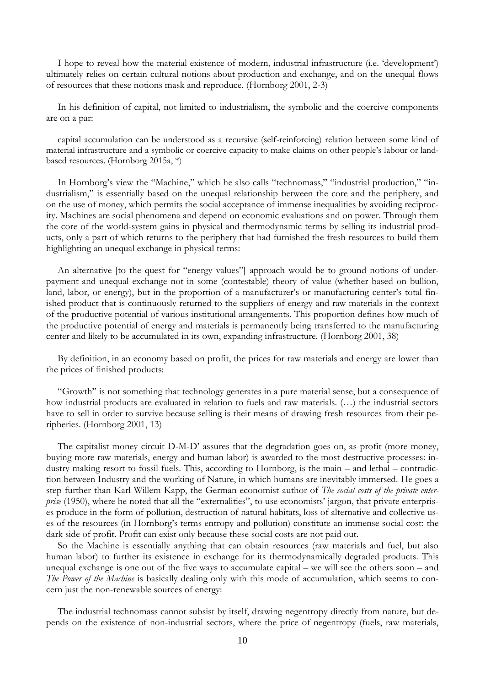I hope to reveal how the material existence of modern, industrial infrastructure (i.e. 'development') ultimately relies on certain cultural notions about production and exchange, and on the unequal flows of resources that these notions mask and reproduce. (Hornborg 2001, 2-3)

In his definition of capital, not limited to industrialism, the symbolic and the coercive components are on a par:

capital accumulation can be understood as a recursive (self-reinforcing) relation between some kind of material infrastructure and a symbolic or coercive capacity to make claims on other people's labour or landbased resources. (Hornborg 2015a, \*)

In Hornborg's view the "Machine," which he also calls "technomass," "industrial production," "industrialism," is essentially based on the unequal relationship between the core and the periphery, and on the use of money, which permits the social acceptance of immense inequalities by avoiding reciprocity. Machines are social phenomena and depend on economic evaluations and on power. Through them the core of the world-system gains in physical and thermodynamic terms by selling its industrial products, only a part of which returns to the periphery that had furnished the fresh resources to build them highlighting an unequal exchange in physical terms:

An alternative [to the quest for "energy values"] approach would be to ground notions of underpayment and unequal exchange not in some (contestable) theory of value (whether based on bullion, land, labor, or energy), but in the proportion of a manufacturer's or manufacturing center's total finished product that is continuously returned to the suppliers of energy and raw materials in the context of the productive potential of various institutional arrangements. This proportion defines how much of the productive potential of energy and materials is permanently being transferred to the manufacturing center and likely to be accumulated in its own, expanding infrastructure. (Hornborg 2001, 38)

By definition, in an economy based on profit, the prices for raw materials and energy are lower than the prices of finished products:

"Growth" is not something that technology generates in a pure material sense, but a consequence of how industrial products are evaluated in relation to fuels and raw materials. (…) the industrial sectors have to sell in order to survive because selling is their means of drawing fresh resources from their peripheries. (Hornborg 2001, 13)

The capitalist money circuit D-M-D' assures that the degradation goes on, as profit (more money, buying more raw materials, energy and human labor) is awarded to the most destructive processes: industry making resort to fossil fuels. This, according to Hornborg, is the main – and lethal – contradiction between Industry and the working of Nature, in which humans are inevitably immersed. He goes a step further than Karl Willem Kapp, the German economist author of *The social costs of the private enterprise* (1950), where he noted that all the "externalities", to use economists' jargon, that private enterprises produce in the form of pollution, destruction of natural habitats, loss of alternative and collective uses of the resources (in Hornborg's terms entropy and pollution) constitute an immense social cost: the dark side of profit. Profit can exist only because these social costs are not paid out.

So the Machine is essentially anything that can obtain resources (raw materials and fuel, but also human labor) to further its existence in exchange for its thermodynamically degraded products. This unequal exchange is one out of the five ways to accumulate capital – we will see the others soon – and *The Power of the Machine* is basically dealing only with this mode of accumulation, which seems to concern just the non-renewable sources of energy:

The industrial technomass cannot subsist by itself, drawing negentropy directly from nature, but depends on the existence of non-industrial sectors, where the price of negentropy (fuels, raw materials,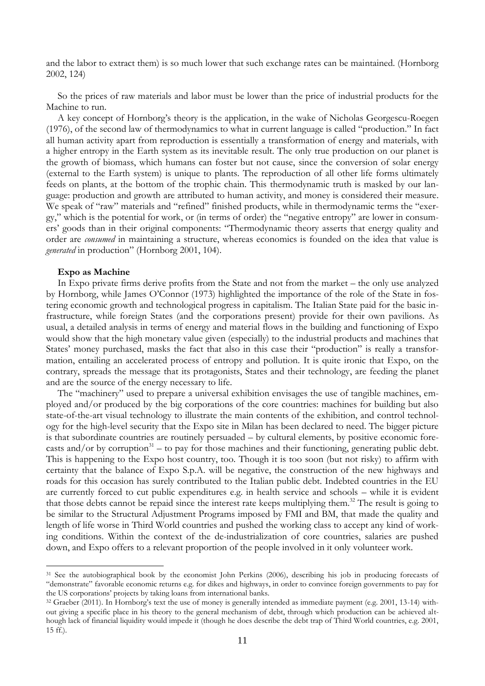and the labor to extract them) is so much lower that such exchange rates can be maintained. (Hornborg 2002, 124)

So the prices of raw materials and labor must be lower than the price of industrial products for the Machine to run.

A key concept of Hornborg's theory is the application, in the wake of Nicholas Georgescu-Roegen (1976), of the second law of thermodynamics to what in current language is called "production." In fact all human activity apart from reproduction is essentially a transformation of energy and materials, with a higher entropy in the Earth system as its inevitable result. The only true production on our planet is the growth of biomass, which humans can foster but not cause, since the conversion of solar energy (external to the Earth system) is unique to plants. The reproduction of all other life forms ultimately feeds on plants, at the bottom of the trophic chain. This thermodynamic truth is masked by our language: production and growth are attributed to human activity, and money is considered their measure. We speak of "raw" materials and "refined" finished products, while in thermodynamic terms the "exergy," which is the potential for work, or (in terms of order) the "negative entropy" are lower in consumers' goods than in their original components: "Thermodynamic theory asserts that energy quality and order are *consumed* in maintaining a structure, whereas economics is founded on the idea that value is *generated* in production" (Hornborg 2001, 104).

## **Expo as Machine**

1

In Expo private firms derive profits from the State and not from the market – the only use analyzed by Hornborg, while James O'Connor (1973) highlighted the importance of the role of the State in fostering economic growth and technological progress in capitalism. The Italian State paid for the basic infrastructure, while foreign States (and the corporations present) provide for their own pavilions. As usual, a detailed analysis in terms of energy and material flows in the building and functioning of Expo would show that the high monetary value given (especially) to the industrial products and machines that States' money purchased, masks the fact that also in this case their "production" is really a transformation, entailing an accelerated process of entropy and pollution. It is quite ironic that Expo, on the contrary, spreads the message that its protagonists, States and their technology, are feeding the planet and are the source of the energy necessary to life.

The "machinery" used to prepare a universal exhibition envisages the use of tangible machines, employed and/or produced by the big corporations of the core countries: machines for building but also state-of-the-art visual technology to illustrate the main contents of the exhibition, and control technology for the high-level security that the Expo site in Milan has been declared to need. The bigger picture is that subordinate countries are routinely persuaded – by cultural elements, by positive economic forecasts and/or by corruption<sup>31</sup> – to pay for those machines and their functioning, generating public debt. This is happening to the Expo host country, too. Though it is too soon (but not risky) to affirm with certainty that the balance of Expo S.p.A. will be negative, the construction of the new highways and roads for this occasion has surely contributed to the Italian public debt. Indebted countries in the EU are currently forced to cut public expenditures e.g. in health service and schools – while it is evident that those debts cannot be repaid since the interest rate keeps multiplying them.<sup>32</sup> The result is going to be similar to the Structural Adjustment Programs imposed by FMI and BM, that made the quality and length of life worse in Third World countries and pushed the working class to accept any kind of working conditions. Within the context of the de-industrialization of core countries, salaries are pushed down, and Expo offers to a relevant proportion of the people involved in it only volunteer work.

<sup>&</sup>lt;sup>31</sup> See the autobiographical book by the economist John Perkins (2006), describing his job in producing forecasts of "demonstrate" favorable economic returns e.g. for dikes and highways, in order to convince foreign governments to pay for the US corporations' projects by taking loans from international banks.

<sup>32</sup> Graeber (2011). In Hornborg's text the use of money is generally intended as immediate payment (e.g. 2001, 13-14) without giving a specific place in his theory to the general mechanism of debt, through which production can be achieved although lack of financial liquidity would impede it (though he does describe the debt trap of Third World countries, e.g. 2001, 15 ff.).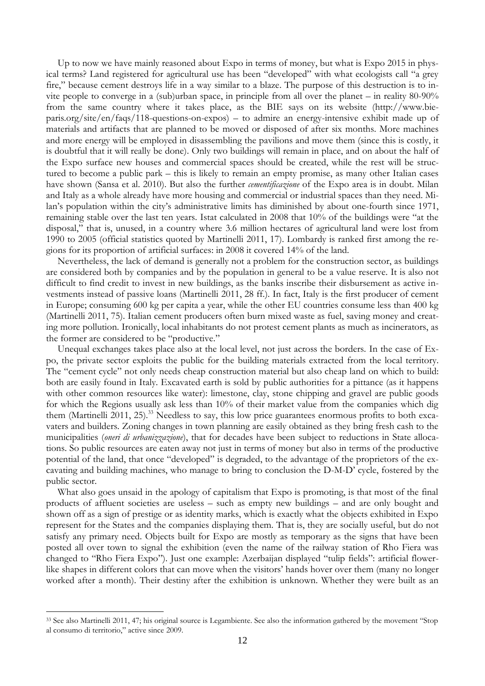Up to now we have mainly reasoned about Expo in terms of money, but what is Expo 2015 in physical terms? Land registered for agricultural use has been "developed" with what ecologists call "a grey fire," because cement destroys life in a way similar to a blaze. The purpose of this destruction is to invite people to converge in a (sub)urban space, in principle from all over the planet – in reality 80-90% from the same country where it takes place, as the BIE says on its website [\(http://www.bie](http://www.bie-paris.org/site/en/faqs/118-questions-on-expos)[paris.org/site/en/faqs/118-questions-on-expos\)](http://www.bie-paris.org/site/en/faqs/118-questions-on-expos) – to admire an energy-intensive exhibit made up of materials and artifacts that are planned to be moved or disposed of after six months. More machines and more energy will be employed in disassembling the pavilions and move them (since this is costly, it is doubtful that it will really be done). Only two buildings will remain in place, and on about the half of the Expo surface new houses and commercial spaces should be created, while the rest will be structured to become a public park – this is likely to remain an empty promise, as many other Italian cases have shown (Sansa et al. 2010). But also the further *cementificazione* of the Expo area is in doubt. Milan and Italy as a whole already have more housing and commercial or industrial spaces than they need. Milan's population within the city's administrative limits has diminished by about one-fourth since 1971, remaining stable over the last ten years. Istat calculated in 2008 that 10% of the buildings were "at the disposal," that is, unused, in a country where 3.6 million hectares of agricultural land were lost from 1990 to 2005 (official statistics quoted by Martinelli 2011, 17). Lombardy is ranked first among the regions for its proportion of artificial surfaces: in 2008 it covered 14% of the land.

Nevertheless, the lack of demand is generally not a problem for the construction sector, as buildings are considered both by companies and by the population in general to be a value reserve. It is also not difficult to find credit to invest in new buildings, as the banks inscribe their disbursement as active investments instead of passive loans (Martinelli 2011, 28 ff.). In fact, Italy is the first producer of cement in Europe; consuming 600 kg per capita a year, while the other EU countries consume less than 400 kg (Martinelli 2011, 75). Italian cement producers often burn mixed waste as fuel, saving money and creating more pollution. Ironically, local inhabitants do not protest cement plants as much as incinerators, as the former are considered to be "productive."

Unequal exchanges takes place also at the local level, not just across the borders. In the case of Expo, the private sector exploits the public for the building materials extracted from the local territory. The "cement cycle" not only needs cheap construction material but also cheap land on which to build: both are easily found in Italy. Excavated earth is sold by public authorities for a pittance (as it happens with other common resources like water): limestone, clay, stone chipping and gravel are public goods for which the Regions usually ask less than 10% of their market value from the companies which dig them (Martinelli 2011, 25).<sup>33</sup> Needless to say, this low price guarantees enormous profits to both excavaters and builders. Zoning changes in town planning are easily obtained as they bring fresh cash to the municipalities (*oneri di urbanizzazione*), that for decades have been subject to reductions in State allocations. So public resources are eaten away not just in terms of money but also in terms of the productive potential of the land, that once "developed" is degraded, to the advantage of the proprietors of the excavating and building machines, who manage to bring to conclusion the D-M-D' cycle, fostered by the public sector.

What also goes unsaid in the apology of capitalism that Expo is promoting, is that most of the final products of affluent societies are useless – such as empty new buildings – and are only bought and shown off as a sign of prestige or as identity marks, which is exactly what the objects exhibited in Expo represent for the States and the companies displaying them. That is, they are socially useful, but do not satisfy any primary need. Objects built for Expo are mostly as temporary as the signs that have been posted all over town to signal the exhibition (even the name of the railway station of Rho Fiera was changed to "Rho Fiera Expo"). Just one example: Azerbaijan displayed "tulip fields": artificial flowerlike shapes in different colors that can move when the visitors' hands hover over them (many no longer worked after a month). Their destiny after the exhibition is unknown. Whether they were built as an

<u>.</u>

<sup>33</sup> See also Martinelli 2011, 47; his original source is Legambiente. See also the information gathered by the movement "Stop al consumo di territorio," active since 2009.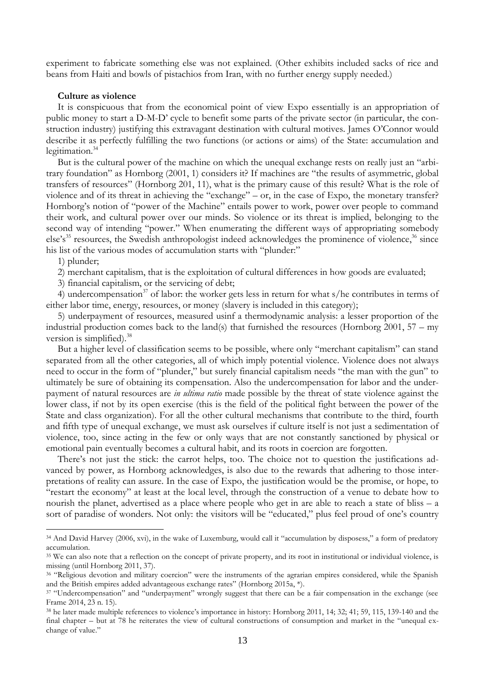experiment to fabricate something else was not explained. (Other exhibits included sacks of rice and beans from Haiti and bowls of pistachios from Iran, with no further energy supply needed.)

### **Culture as violence**

It is conspicuous that from the economical point of view Expo essentially is an appropriation of public money to start a D-M-D' cycle to benefit some parts of the private sector (in particular, the construction industry) justifying this extravagant destination with cultural motives. James O'Connor would describe it as perfectly fulfilling the two functions (or actions or aims) of the State: accumulation and legitimation.<sup>34</sup>

But is the cultural power of the machine on which the unequal exchange rests on really just an "arbitrary foundation" as Hornborg (2001, 1) considers it? If machines are "the results of asymmetric, global transfers of resources" (Hornborg 201, 11), what is the primary cause of this result? What is the role of violence and of its threat in achieving the "exchange" – or, in the case of Expo, the monetary transfer? Hornborg's notion of "power of the Machine" entails power to work, power over people to command their work, and cultural power over our minds. So violence or its threat is implied, belonging to the second way of intending "power." When enumerating the different ways of appropriating somebody  $e^s$ 's<sup>35</sup> resources, the Swedish anthropologist indeed acknowledges the prominence of violence,  $36$  since his list of the various modes of accumulation starts with "plunder:"

1) plunder;

1

2) merchant capitalism, that is the exploitation of cultural differences in how goods are evaluated;

3) financial capitalism, or the servicing of debt;

4) undercompensation<sup>37</sup> of labor: the worker gets less in return for what  $s/h$ e contributes in terms of either labor time, energy, resources, or money (slavery is included in this category);

5) underpayment of resources, measured usinf a thermodynamic analysis: a lesser proportion of the industrial production comes back to the land(s) that furnished the resources (Hornborg 2001,  $57 - mv$ version is simplified). 38

But a higher level of classification seems to be possible, where only "merchant capitalism" can stand separated from all the other categories, all of which imply potential violence. Violence does not always need to occur in the form of "plunder," but surely financial capitalism needs "the man with the gun" to ultimately be sure of obtaining its compensation. Also the undercompensation for labor and the underpayment of natural resources are *in ultima ratio* made possible by the threat of state violence against the lower class, if not by its open exercise (this is the field of the political fight between the power of the State and class organization). For all the other cultural mechanisms that contribute to the third, fourth and fifth type of unequal exchange, we must ask ourselves if culture itself is not just a sedimentation of violence, too, since acting in the few or only ways that are not constantly sanctioned by physical or emotional pain eventually becomes a cultural habit, and its roots in coercion are forgotten.

There's not just the stick: the carrot helps, too. The choice not to question the justifications advanced by power, as Hornborg acknowledges, is also due to the rewards that adhering to those interpretations of reality can assure. In the case of Expo, the justification would be the promise, or hope, to "restart the economy" at least at the local level, through the construction of a venue to debate how to nourish the planet, advertised as a place where people who get in are able to reach a state of bliss – a sort of paradise of wonders. Not only: the visitors will be "educated," plus feel proud of one's country

<sup>&</sup>lt;sup>34</sup> And David Harvey (2006, xvi), in the wake of Luxemburg, would call it "accumulation by disposess," a form of predatory accumulation.

<sup>&</sup>lt;sup>35</sup> We can also note that a reflection on the concept of private property, and its root in institutional or individual violence, is missing (until Hornborg 2011, 37).

<sup>&</sup>lt;sup>36</sup> "Religious devotion and military coercion" were the instruments of the agrarian empires considered, while the Spanish and the British empires added advantageous exchange rates" (Hornborg 2015a, \*).

<sup>37</sup> "Undercompensation" and "underpayment" wrongly suggest that there can be a fair compensation in the exchange (see Frame 2014, 23 n. 15).

<sup>38</sup> he later made multiple references to violence's importance in history: Hornborg 2011, 14; 32; 41; 59, 115, 139-140 and the final chapter – but at 78 he reiterates the view of cultural constructions of consumption and market in the "unequal exchange of value."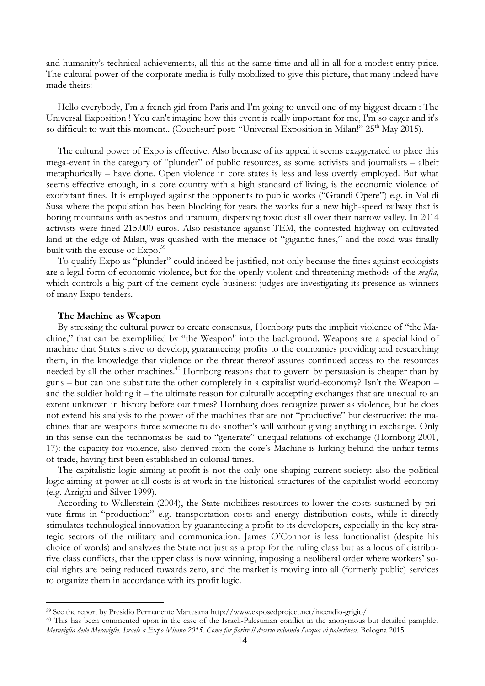and humanity's technical achievements, all this at the same time and all in all for a modest entry price. The cultural power of the corporate media is fully mobilized to give this picture, that many indeed have made theirs:

Hello everybody, I'm a french girl from Paris and I'm going to unveil one of my biggest dream : The Universal Exposition ! You can't imagine how this event is really important for me, I'm so eager and it's so difficult to wait this moment.. (Couchsurf post: "Universal Exposition in Milan!" 25<sup>th</sup> May 2015).

The cultural power of Expo is effective. Also because of its appeal it seems exaggerated to place this mega-event in the category of "plunder" of public resources, as some activists and journalists – albeit metaphorically – have done. Open violence in core states is less and less overtly employed. But what seems effective enough, in a core country with a high standard of living, is the economic violence of exorbitant fines. It is employed against the opponents to public works ("Grandi Opere") e.g. in Val di Susa where the population has been blocking for years the works for a new high-speed railway that is boring mountains with asbestos and uranium, dispersing toxic dust all over their narrow valley. In 2014 activists were fined 215.000 euros. Also resistance against TEM, the contested highway on cultivated land at the edge of Milan, was quashed with the menace of "gigantic fines," and the road was finally built with the excuse of Expo.<sup>39</sup>

To qualify Expo as "plunder" could indeed be justified, not only because the fines against ecologists are a legal form of economic violence, but for the openly violent and threatening methods of the *mafia*, which controls a big part of the cement cycle business: judges are investigating its presence as winners of many Expo tenders.

## **The Machine as Weapon**

1

By stressing the cultural power to create consensus, Hornborg puts the implicit violence of "the Machine," that can be exemplified by "the Weapon" into the background. Weapons are a special kind of machine that States strive to develop, guaranteeing profits to the companies providing and researching them, in the knowledge that violence or the threat thereof assures continued access to the resources needed by all the other machines.<sup>40</sup> Hornborg reasons that to govern by persuasion is cheaper than by guns – but can one substitute the other completely in a capitalist world-economy? Isn't the Weapon – and the soldier holding it – the ultimate reason for culturally accepting exchanges that are unequal to an extent unknown in history before our times? Hornborg does recognize power as violence, but he does not extend his analysis to the power of the machines that are not "productive" but destructive: the machines that are weapons force someone to do another's will without giving anything in exchange. Only in this sense can the technomass be said to "generate" unequal relations of exchange (Hornborg 2001, 17): the capacity for violence, also derived from the core's Machine is lurking behind the unfair terms of trade, having first been established in colonial times.

The capitalistic logic aiming at profit is not the only one shaping current society: also the political logic aiming at power at all costs is at work in the historical structures of the capitalist world-economy (e.g. Arrighi and Silver 1999).

According to Wallerstein (2004), the State mobilizes resources to lower the costs sustained by private firms in "production:" e.g. transportation costs and energy distribution costs, while it directly stimulates technological innovation by guaranteeing a profit to its developers, especially in the key strategic sectors of the military and communication. James O'Connor is less functionalist (despite his choice of words) and analyzes the State not just as a prop for the ruling class but as a locus of distributive class conflicts, that the upper class is now winning, imposing a neoliberal order where workers' social rights are being reduced towards zero, and the market is moving into all (formerly public) services to organize them in accordance with its profit logic.

<sup>39</sup> See the report by Presidio Permanente Martesana<http://www.exposedproject.net/incendio-grigio/>

<sup>40</sup> This has been commented upon in the case of the Israeli-Palestinian conflict in the anonymous but detailed pamphlet *Meraviglia delle Meraviglie. Israele a Expo Milano 2015. Come far fiorire il deserto rubando l'acqua ai palestinesi.* Bologna 2015.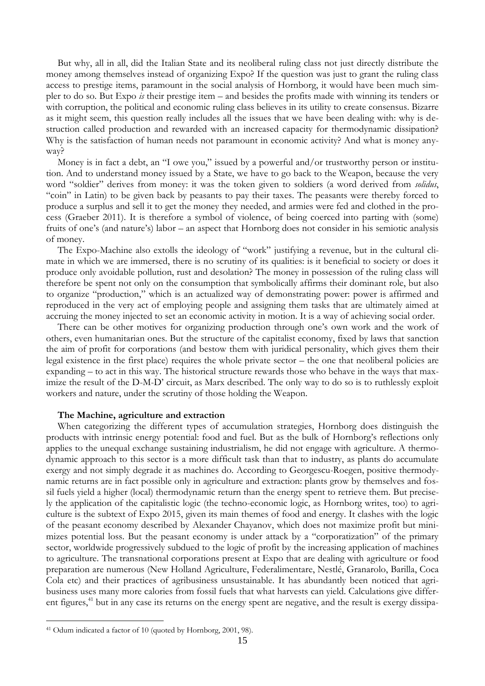But why, all in all, did the Italian State and its neoliberal ruling class not just directly distribute the money among themselves instead of organizing Expo? If the question was just to grant the ruling class access to prestige items, paramount in the social analysis of Hornborg, it would have been much simpler to do so. But Expo *is* their prestige item – and besides the profits made with winning its tenders or with corruption, the political and economic ruling class believes in its utility to create consensus. Bizarre as it might seem, this question really includes all the issues that we have been dealing with: why is destruction called production and rewarded with an increased capacity for thermodynamic dissipation? Why is the satisfaction of human needs not paramount in economic activity? And what is money anyway?

Money is in fact a debt, an "I owe you," issued by a powerful and/or trustworthy person or institution. And to understand money issued by a State, we have to go back to the Weapon, because the very word "soldier" derives from money: it was the token given to soldiers (a word derived from *solidus*, "coin" in Latin) to be given back by peasants to pay their taxes. The peasants were thereby forced to produce a surplus and sell it to get the money they needed, and armies were fed and clothed in the process (Graeber 2011). It is therefore a symbol of violence, of being coerced into parting with (some) fruits of one's (and nature's) labor – an aspect that Hornborg does not consider in his semiotic analysis of money.

The Expo-Machine also extolls the ideology of "work" justifying a revenue, but in the cultural climate in which we are immersed, there is no scrutiny of its qualities: is it beneficial to society or does it produce only avoidable pollution, rust and desolation? The money in possession of the ruling class will therefore be spent not only on the consumption that symbolically affirms their dominant role, but also to organize "production," which is an actualized way of demonstrating power: power is affirmed and reproduced in the very act of employing people and assigning them tasks that are ultimately aimed at accruing the money injected to set an economic activity in motion. It is a way of achieving social order.

There can be other motives for organizing production through one's own work and the work of others, even humanitarian ones. But the structure of the capitalist economy, fixed by laws that sanction the aim of profit for corporations (and bestow them with juridical personality, which gives them their legal existence in the first place) requires the whole private sector – the one that neoliberal policies are expanding – to act in this way. The historical structure rewards those who behave in the ways that maximize the result of the D-M-D' circuit, as Marx described. The only way to do so is to ruthlessly exploit workers and nature, under the scrutiny of those holding the Weapon.

### **The Machine, agriculture and extraction**

When categorizing the different types of accumulation strategies, Hornborg does distinguish the products with intrinsic energy potential: food and fuel. But as the bulk of Hornborg's reflections only applies to the unequal exchange sustaining industrialism, he did not engage with agriculture. A thermodynamic approach to this sector is a more difficult task than that to industry, as plants do accumulate exergy and not simply degrade it as machines do. According to Georgescu-Roegen, positive thermodynamic returns are in fact possible only in agriculture and extraction: plants grow by themselves and fossil fuels yield a higher (local) thermodynamic return than the energy spent to retrieve them. But precisely the application of the capitalistic logic (the techno-economic logic, as Hornborg writes, too) to agriculture is the subtext of Expo 2015, given its main themes of food and energy. It clashes with the logic of the peasant economy described by Alexander Chayanov, which does not maximize profit but minimizes potential loss. But the peasant economy is under attack by a "corporatization" of the primary sector, worldwide progressively subdued to the logic of profit by the increasing application of machines to agriculture. The transnational corporations present at Expo that are dealing with agriculture or food preparation are numerous (New Holland Agriculture, Federalimentare, Nestlé, Granarolo, Barilla, Coca Cola etc) and their practices of agribusiness unsustainable. It has abundantly been noticed that agribusiness uses many more calories from fossil fuels that what harvests can yield. Calculations give different figures,<sup>41</sup> but in any case its returns on the energy spent are negative, and the result is exergy dissipa-

1

<sup>41</sup> Odum indicated a factor of 10 (quoted by Hornborg, 2001, 98).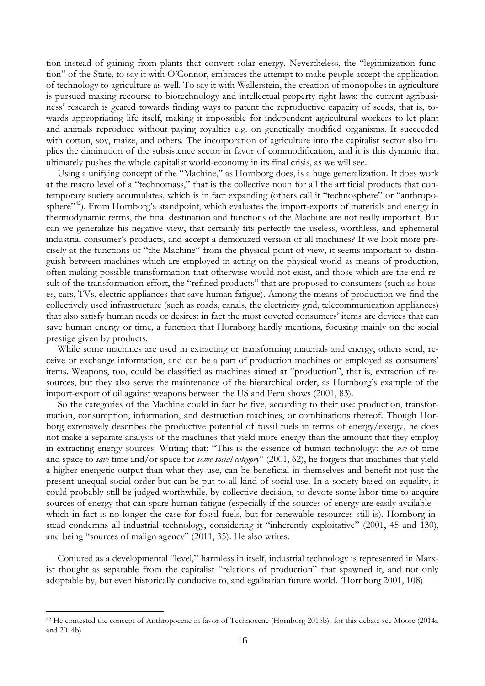tion instead of gaining from plants that convert solar energy. Nevertheless, the "legitimization function" of the State, to say it with O'Connor, embraces the attempt to make people accept the application of technology to agriculture as well. To say it with Wallerstein, the creation of monopolies in agriculture is pursued making recourse to biotechnology and intellectual property right laws: the current agribusiness' research is geared towards finding ways to patent the reproductive capacity of seeds, that is, towards appropriating life itself, making it impossible for independent agricultural workers to let plant and animals reproduce without paying royalties e.g. on genetically modified organisms. It succeeded with cotton, soy, maize, and others. The incorporation of agriculture into the capitalist sector also implies the diminution of the subsistence sector in favor of commodification, and it is this dynamic that ultimately pushes the whole capitalist world-economy in its final crisis, as we will see.

Using a unifying concept of the "Machine," as Hornborg does, is a huge generalization. It does work at the macro level of a "technomass," that is the collective noun for all the artificial products that contemporary society accumulates, which is in fact expanding (others call it "technosphere" or "anthroposphere<sup>"42</sup>). From Hornborg's standpoint, which evaluates the import-exports of materials and energy in thermodynamic terms, the final destination and functions of the Machine are not really important. But can we generalize his negative view, that certainly fits perfectly the useless, worthless, and ephemeral industrial consumer's products, and accept a demonized version of all machines? If we look more precisely at the functions of "the Machine" from the physical point of view, it seems important to distinguish between machines which are employed in acting on the physical world as means of production, often making possible transformation that otherwise would not exist, and those which are the end result of the transformation effort, the "refined products" that are proposed to consumers (such as houses, cars, TVs, electric appliances that save human fatigue). Among the means of production we find the collectively used infrastructure (such as roads, canals, the electricity grid, telecommunication appliances) that also satisfy human needs or desires: in fact the most coveted consumers' items are devices that can save human energy or time, a function that Hornborg hardly mentions, focusing mainly on the social prestige given by products.

While some machines are used in extracting or transforming materials and energy, others send, receive or exchange information, and can be a part of production machines or employed as consumers' items. Weapons, too, could be classified as machines aimed at "production", that is, extraction of resources, but they also serve the maintenance of the hierarchical order, as Hornborg's example of the import-export of oil against weapons between the US and Peru shows (2001, 83).

So the categories of the Machine could in fact be five, according to their use: production, transformation, consumption, information, and destruction machines, or combinations thereof. Though Horborg extensively describes the productive potential of fossil fuels in terms of energy/exergy, he does not make a separate analysis of the machines that yield more energy than the amount that they employ in extracting energy sources. Writing that: "This is the essence of human technology: the *use* of time and space to *save* time and/or space for *some social category*" (2001, 62), he forgets that machines that yield a higher energetic output than what they use, can be beneficial in themselves and benefit not just the present unequal social order but can be put to all kind of social use. In a society based on equality, it could probably still be judged worthwhile, by collective decision, to devote some labor time to acquire sources of energy that can spare human fatigue (especially if the sources of energy are easily available – which in fact is no longer the case for fossil fuels, but for renewable resources still is). Hornborg instead condemns all industrial technology, considering it "inherently exploitative" (2001, 45 and 130), and being "sources of malign agency" (2011, 35). He also writes:

Conjured as a developmental "level," harmless in itself, industrial technology is represented in Marxist thought as separable from the capitalist "relations of production" that spawned it, and not only adoptable by, but even historically conducive to, and egalitarian future world. (Hornborg 2001, 108)

<u>.</u>

<sup>42</sup> He contested the concept of Anthropocene in favor of Technocene (Hornborg 2015b). for this debate see Moore (2014a and 2014b).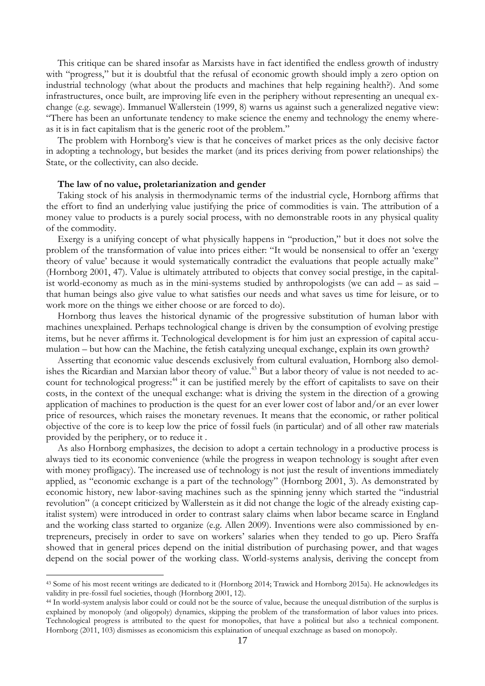This critique can be shared insofar as Marxists have in fact identified the endless growth of industry with "progress," but it is doubtful that the refusal of economic growth should imply a zero option on industrial technology (what about the products and machines that help regaining health?). And some infrastructures, once built, are improving life even in the periphery without representing an unequal exchange (e.g. sewage). Immanuel Wallerstein (1999, 8) warns us against such a generalized negative view: "There has been an unfortunate tendency to make science the enemy and technology the enemy whereas it is in fact capitalism that is the generic root of the problem."

The problem with Hornborg's view is that he conceives of market prices as the only decisive factor in adopting a technology, but besides the market (and its prices deriving from power relationships) the State, or the collectivity, can also decide.

### **The law of no value, proletarianization and gender**

<u>.</u>

Taking stock of his analysis in thermodynamic terms of the industrial cycle, Hornborg affirms that the effort to find an underlying value justifying the price of commodities is vain. The attribution of a money value to products is a purely social process, with no demonstrable roots in any physical quality of the commodity.

Exergy is a unifying concept of what physically happens in "production," but it does not solve the problem of the transformation of value into prices either: "It would be nonsensical to offer an 'exergy theory of value' because it would systematically contradict the evaluations that people actually make" (Hornborg 2001, 47). Value is ultimately attributed to objects that convey social prestige, in the capitalist world-economy as much as in the mini-systems studied by anthropologists (we can add – as said – that human beings also give value to what satisfies our needs and what saves us time for leisure, or to work more on the things we either choose or are forced to do).

Hornborg thus leaves the historical dynamic of the progressive substitution of human labor with machines unexplained. Perhaps technological change is driven by the consumption of evolving prestige items, but he never affirms it. Technological development is for him just an expression of capital accumulation – but how can the Machine, the fetish catalyzing unequal exchange, explain its own growth?

Asserting that economic value descends exclusively from cultural evaluation, Hornborg also demolishes the Ricardian and Marxian labor theory of value.<sup>43</sup> But a labor theory of value is not needed to account for technological progress:<sup>44</sup> it can be justified merely by the effort of capitalists to save on their costs, in the context of the unequal exchange: what is driving the system in the direction of a growing application of machines to production is the quest for an ever lower cost of labor and/or an ever lower price of resources, which raises the monetary revenues. It means that the economic, or rather political objective of the core is to keep low the price of fossil fuels (in particular) and of all other raw materials provided by the periphery, or to reduce it .

As also Hornborg emphasizes, the decision to adopt a certain technology in a productive process is always tied to its economic convenience (while the progress in weapon technology is sought after even with money profligacy). The increased use of technology is not just the result of inventions immediately applied, as "economic exchange is a part of the technology" (Hornborg 2001, 3). As demonstrated by economic history, new labor-saving machines such as the spinning jenny which started the "industrial revolution" (a concept criticized by Wallerstein as it did not change the logic of the already existing capitalist system) were introduced in order to contrast salary claims when labor became scarce in England and the working class started to organize (e.g. Allen 2009). Inventions were also commissioned by entrepreneurs, precisely in order to save on workers' salaries when they tended to go up. Piero Sraffa showed that in general prices depend on the initial distribution of purchasing power, and that wages depend on the social power of the working class. World-systems analysis, deriving the concept from

<sup>43</sup> Some of his most recent writings are dedicated to it (Hornborg 2014; Trawick and Hornborg 2015a). He acknowledges its validity in pre-fossil fuel societies, though (Hornborg 2001, 12).

<sup>44</sup> In world-system analysis labor could or could not be the source of value, because the unequal distribution of the surplus is explained by monopoly (and oligopoly) dynamics, skipping the problem of the transformation of labor values into prices. Technological progress is attributed to the quest for monopolies, that have a political but also a technical component. Hornborg (2011, 103) dismisses as economicism this explaination of unequal exzchnage as based on monopoly.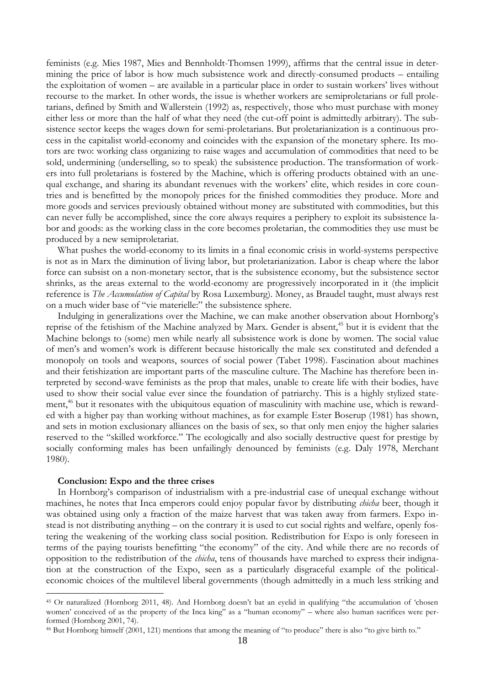feminists (e.g. Mies 1987, Mies and Bennholdt-Thomsen 1999), affirms that the central issue in determining the price of labor is how much subsistence work and directly-consumed products – entailing the exploitation of women – are available in a particular place in order to sustain workers' lives without recourse to the market. In other words, the issue is whether workers are semiproletarians or full proletarians, defined by Smith and Wallerstein (1992) as, respectively, those who must purchase with money either less or more than the half of what they need (the cut-off point is admittedly arbitrary). The subsistence sector keeps the wages down for semi-proletarians. But proletarianization is a continuous process in the capitalist world-economy and coincides with the expansion of the monetary sphere. Its motors are two: working class organizing to raise wages and accumulation of commodities that need to be sold, undermining (underselling, so to speak) the subsistence production. The transformation of workers into full proletarians is fostered by the Machine, which is offering products obtained with an unequal exchange, and sharing its abundant revenues with the workers' elite, which resides in core countries and is benefitted by the monopoly prices for the finished commodities they produce. More and more goods and services previously obtained without money are substituted with commodities, but this can never fully be accomplished, since the core always requires a periphery to exploit its subsistence labor and goods: as the working class in the core becomes proletarian, the commodities they use must be produced by a new semiproletariat.

What pushes the world-economy to its limits in a final economic crisis in world-systems perspective is not as in Marx the diminution of living labor, but proletarianization. Labor is cheap where the labor force can subsist on a non-monetary sector, that is the subsistence economy, but the subsistence sector shrinks, as the areas external to the world-economy are progressively incorporated in it (the implicit reference is *The Accumulation of Capital* by Rosa Luxemburg). Money, as Braudel taught, must always rest on a much wider base of "vie materielle:" the subsistence sphere.

Indulging in generalizations over the Machine, we can make another observation about Hornborg's reprise of the fetishism of the Machine analyzed by Marx. Gender is absent,<sup>45</sup> but it is evident that the Machine belongs to (some) men while nearly all subsistence work is done by women. The social value of men's and women's work is different because historically the male sex constituted and defended a monopoly on tools and weapons, sources of social power (Tabet 1998). Fascination about machines and their fetishization are important parts of the masculine culture. The Machine has therefore been interpreted by second-wave feminists as the prop that males, unable to create life with their bodies, have used to show their social value ever since the foundation of patriarchy. This is a highly stylized statement,<sup>46</sup> but it resonates with the ubiquitous equation of masculinity with machine use, which is rewarded with a higher pay than working without machines, as for example Ester Boserup (1981) has shown, and sets in motion exclusionary alliances on the basis of sex, so that only men enjoy the higher salaries reserved to the "skilled workforce." The ecologically and also socially destructive quest for prestige by socially conforming males has been unfailingly denounced by feminists (e.g. Daly 1978, Merchant 1980).

#### **Conclusion: Expo and the three crises**

1

In Hornborg's comparison of industrialism with a pre-industrial case of unequal exchange without machines, he notes that Inca emperors could enjoy popular favor by distributing *chicha* beer, though it was obtained using only a fraction of the maize harvest that was taken away from farmers. Expo instead is not distributing anything – on the contrary it is used to cut social rights and welfare, openly fostering the weakening of the working class social position. Redistribution for Expo is only foreseen in terms of the paying tourists benefitting "the economy" of the city. And while there are no records of opposition to the redistribution of the *chicha*, tens of thousands have marched to express their indignation at the construction of the Expo, seen as a particularly disgraceful example of the politicaleconomic choices of the multilevel liberal governments (though admittedly in a much less striking and

<sup>45</sup> Or naturalized (Hornborg 2011, 48). And Hornborg doesn't bat an eyelid in qualifying "the accumulation of 'chosen women' conceived of as the property of the Inca king" as a "human economy" – where also human sacrifices were performed (Hornborg 2001, 74).

<sup>46</sup> But Hornborg himself (2001, 121) mentions that among the meaning of "to produce" there is also "to give birth to."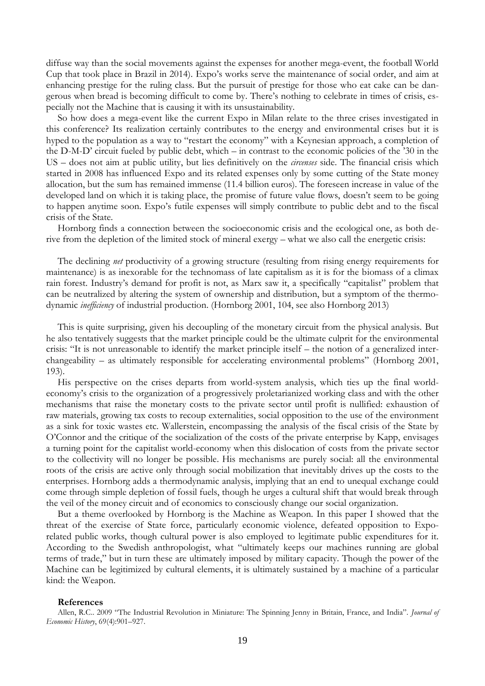diffuse way than the social movements against the expenses for another mega-event, the football World Cup that took place in Brazil in 2014). Expo's works serve the maintenance of social order, and aim at enhancing prestige for the ruling class. But the pursuit of prestige for those who eat cake can be dangerous when bread is becoming difficult to come by. There's nothing to celebrate in times of crisis, especially not the Machine that is causing it with its unsustainability.

So how does a mega-event like the current Expo in Milan relate to the three crises investigated in this conference? Its realization certainly contributes to the energy and environmental crises but it is hyped to the population as a way to "restart the economy" with a Keynesian approach, a completion of the D-M-D' circuit fueled by public debt, which – in contrast to the economic policies of the '30 in the US – does not aim at public utility, but lies definitively on the *circenses* side. The financial crisis which started in 2008 has influenced Expo and its related expenses only by some cutting of the State money allocation, but the sum has remained immense (11.4 billion euros). The foreseen increase in value of the developed land on which it is taking place, the promise of future value flows, doesn't seem to be going to happen anytime soon. Expo's futile expenses will simply contribute to public debt and to the fiscal crisis of the State.

Hornborg finds a connection between the socioeconomic crisis and the ecological one, as both derive from the depletion of the limited stock of mineral exergy – what we also call the energetic crisis:

The declining *net* productivity of a growing structure (resulting from rising energy requirements for maintenance) is as inexorable for the technomass of late capitalism as it is for the biomass of a climax rain forest. Industry's demand for profit is not, as Marx saw it, a specifically "capitalist" problem that can be neutralized by altering the system of ownership and distribution, but a symptom of the thermodynamic *inefficiency* of industrial production. (Hornborg 2001, 104, see also Hornborg 2013)

This is quite surprising, given his decoupling of the monetary circuit from the physical analysis. But he also tentatively suggests that the market principle could be the ultimate culprit for the environmental crisis: "It is not unreasonable to identify the market principle itself – the notion of a generalized interchangeability – as ultimately responsible for accelerating environmental problems" (Hornborg 2001, 193).

His perspective on the crises departs from world-system analysis, which ties up the final worldeconomy's crisis to the organization of a progressively proletarianized working class and with the other mechanisms that raise the monetary costs to the private sector until profit is nullified: exhaustion of raw materials, growing tax costs to recoup externalities, social opposition to the use of the environment as a sink for toxic wastes etc. Wallerstein, encompassing the analysis of the fiscal crisis of the State by O'Connor and the critique of the socialization of the costs of the private enterprise by Kapp, envisages a turning point for the capitalist world-economy when this dislocation of costs from the private sector to the collectivity will no longer be possible. His mechanisms are purely social: all the environmental roots of the crisis are active only through social mobilization that inevitably drives up the costs to the enterprises. Hornborg adds a thermodynamic analysis, implying that an end to unequal exchange could come through simple depletion of fossil fuels, though he urges a cultural shift that would break through the veil of the money circuit and of economics to consciously change our social organization.

But a theme overlooked by Hornborg is the Machine as Weapon. In this paper I showed that the threat of the exercise of State force, particularly economic violence, defeated opposition to Exporelated public works, though cultural power is also employed to legitimate public expenditures for it. According to the Swedish anthropologist, what "ultimately keeps our machines running are global terms of trade," but in turn these are ultimately imposed by military capacity. Though the power of the Machine can be legitimized by cultural elements, it is ultimately sustained by a machine of a particular kind: the Weapon.

#### **References**

Allen, R.C.. 2009 "The Industrial Revolution in Miniature: The Spinning Jenny in Britain, France, and India". *Journal of Economic History*, 69(4):901–927.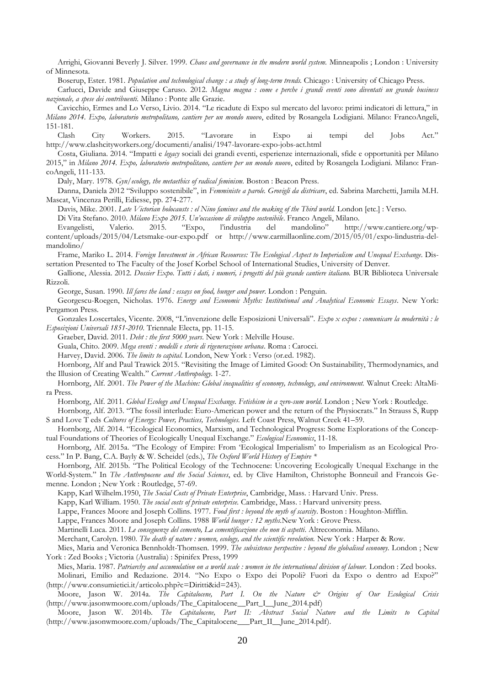Arrighi, Giovanni Beverly J. Silver. 1999. *Chaos and governance in the modern world system.* Minneapolis ; London : University of Minnesota.

Boserup, Ester. 1981. *Population and technological change : a study of long-term trends.* Chicago : University of Chicago Press.

Carlucci, Davide and Giuseppe Caruso. 2012. *Magna magna : come e perche i grandi eventi sono diventati un grande business nazionale, a spese dei contribuenti.* Milano : Ponte alle Grazie.

Cavicchio, Ermes and Lo Verso, Livio. 2014. "Le ricadute di Expo sul mercato del lavoro: primi indicatori di lettura," in *Milano 2014. Expo, laboratorio metropolitano, cantiere per un mondo nuovo*, edited by Rosangela Lodigiani. Milano: FrancoAngeli, 151-181.

Clash City Workers. 2015. "Lavorare in Expo ai tempi del Jobs Act." http://www.clashcityworkers.org/documenti/analisi/1947-lavorare-expo-jobs-act.html

Costa, Giuliana. 2014. "Impatti e *legacy* sociali dei grandi eventi, esperienze internazionali, sfide e opportunità per Milano 2015," in *Milano 2014. Expo, laboratorio metropolitano, cantiere per un mondo nuovo*, edited by Rosangela Lodigiani. Milano: FrancoAngeli, 111-133.

Daly, Mary. 1978. *Gyn/ecology, the metaethics of radical feminism.* Boston : Beacon Press.

Danna, Daniela 2012 "Sviluppo sostenibile", in *Femministe a parole. Grovigli da districare*, ed. Sabrina Marchetti, Jamila M.H. Mascat, Vincenza Perilli, Ediesse, pp. 274-277.

Davis, Mike. 2001. *Late Victorian holocausts : el Nino famines and the making of the Third world.* London [etc.] : Verso.

Di Vita Stefano. 2010. *Milano Expo 2015. Un'occasione di sviluppo sostenibile*. Franco Angeli, Milano. Evangelisti, Valerio. 2015. "Expo, l'industria del mandolino" [http://www.cantiere.org/wp](http://www.cantiere.org/wp-content/uploads/2015/04/Letsmake-our-expo.pdf)[content/uploads/2015/04/Letsmake-our-expo.pdf](http://www.cantiere.org/wp-content/uploads/2015/04/Letsmake-our-expo.pdf) or [http://www.carmillaonline.com/2015/05/01/expo-lindustria-del](http://www.carmillaonline.com/2015/05/01/expo-lindustria-del-mandolino/)[mandolino/](http://www.carmillaonline.com/2015/05/01/expo-lindustria-del-mandolino/)

Frame, Mariko L. 2014. *Foreign Investment in African Resources: The Ecological Aspect to Imperialism and Unequal Exchange*. Dissertation Presented to The Faculty of the Josef Korbel School of International Studies, University of Denver.

Gallione, Alessia. 2012. *Dossier Expo*. *Tutti i dati, i numeri, i progetti del più grande cantiere italiano.* BUR Biblioteca Universale Rizzoli.

George, Susan. 1990. *Ill fares the land : essays on food, hunger and power*. London : Penguin.

Georgescu-Roegen, Nicholas. 1976. *Energy and Economic Myths: Institutional and Analytical Economic Essays*. New York: Pergamon Press.

Gonzales Loscertales, Vicente. 2008, "L'invenzione delle Esposizioni Universali". *Expo x expos : comunicare la modernità : le Esposizioni Universali 1851-2010.* Triennale Electa, pp. 11-15.

Graeber, David. 2011. *Debt : the first 5000 years*. New York : Melville House.

Guala, Chito. 2009. *Mega eventi : modelli e storie di rigenerazione urbana*. Roma : Carocci.

Harvey, David. 2006. *The limits to capital*. London, New York : Verso (or.ed. 1982).

Hornborg, Alf and Paul Trawick 2015. "Revisiting the Image of Limited Good: On Sustainability, Thermodynamics, and the Illusion of Creating Wealth." *Current Anthropology.* 1-27.

Hornborg, Alf. 2001. *The Power of the Machine: Global inequalities of economy, technology, and environment.* Walnut Creek: AltaMira Press.

Hornborg, Alf. 2011. *Global Ecology and Unequal Exchange. Fetishism in a zero-sum world*. London ; New York : Routledge.

Hornborg, Alf. 2013. "The fossil interlude: Euro-American power and the return of the Physiocrats." In Strauss S, Rupp S and Love T eds *Cultures of Energy: Power, Practices, Technologies.* Left Coast Press, Walnut Creek 41–59.

Hornborg, Alf. 2014. "Ecological Economics, Marxism, and Technological Progress: Some Explorations of the Conceptual Foundations of Theories of Ecologically Unequal Exchange." *Ecological Economics*, 11-18.

Hornborg, Alf. 2015a. "The Ecology of Empire: From 'Ecological Imperialism' to Imperialism as an Ecological Process." In P. Bang, C.A. Bayly & W. Scheidel (eds.), *The Oxford World History of Empire \**

Hornborg, Alf. 2015b. "The Political Ecology of the Technocene: Uncovering Ecologically Unequal Exchange in the World-System." In *The Anthropocene and the Social Sciences*, ed. by Clive Hamilton, Christophe Bonneuil and Francois Ge-

menne. London ; New York : Routledge, 57-69.

Kapp, Karl Wilhelm.1950, *The Social Costs of Private Enterprise*, Cambridge, Mass. : Harvard Univ. Press.

Kapp, Karl William. 1950. *The social costs of private enterprise.* Cambridge, Mass. : Harvard university press.

Lappe, Frances Moore and Joseph Collins. 1977. *Food first : beyond the myth of scarcity*. Boston : Houghton-Mifflin.

Lappe, Frances Moore and Joseph Collins. 1988 *World hunger : 12 myths.*New York : Grove Press.

Martinelli Luca. 2011. *Le conseguenze del cemento, La cementificazione che non ti aspetti*. Altreconomia. Milano.

Merchant, Carolyn. 1980. *The death of nature : women, ecology, and the scientific revolution.* New York : Harper & Row.

Mies, Maria and Veronica Bennholdt-Thomsen. 1999. *The subsistence perspective : beyond the globalised economy.* London ; New York : Zed Books ; Victoria (Australia) : Spinifex Press, 1999

Mies, Maria. 1987. Patriarchy and accumulation on a world scale: women in the international division of labour. London : Zed books.

Molinari, Emilio and Redazione. 2014. "No Expo o Expo dei Popoli? Fuori da Expo o dentro ad Expo?" [\(http://www.consumietici.it/articolo.php?c=Diritti&id=243\)](http://www.consumietici.it/articolo.php?c=Diritti&id=243).

Moore, Jason W. 2014a. *The Capitalocene, Part I. On the Nature & Origins of Our Ecological Crisis* (http://www.jasonwmoore.com/uploads/The\_Capitalocene\_Part\_I\_June\_2014.pdf)

Moore, Jason W. 2014b. *The Capitalocene, Part II: Abstract Social Nature and the Limits to Capital* (http://www.jasonwmoore.com/uploads/The\_Capitalocene \_\_Part\_II\_\_June\_2014.pdf).